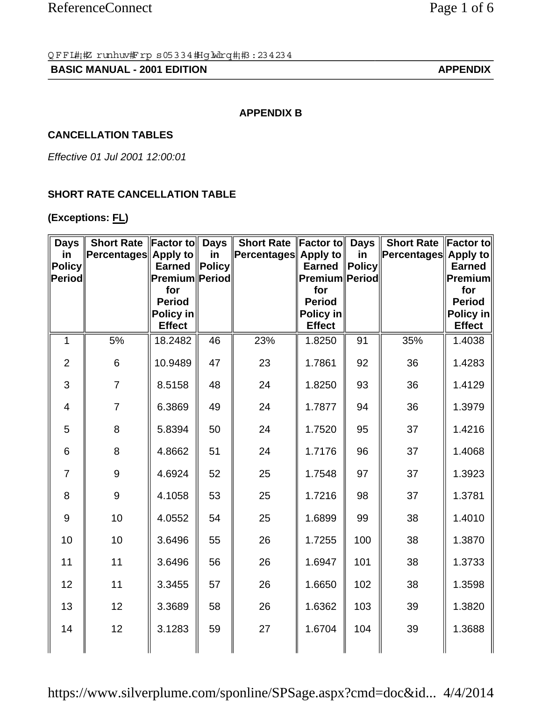$QFFI$ #;#Zrunhuv#Frps05334#Hglwlrq#;#3:234234

## **BASIC MANUAL - 2001 EDITION APPENDIX**

#### **APPENDIX B**

#### **CANCELLATION TABLES**

*Effective 01 Jul 2001 12:00:01*

### **SHORT RATE CANCELLATION TABLE**

### **(Exceptions: FL)**

| <b>Days</b><br>in.      | Short Rate Factor to Days<br>Percentages Apply to |                                 | in     | Short Rate Factor to Days<br>Percentages Apply to |                                        | in            | Short Rate Factor to<br>Percentages Apply to |                                 |
|-------------------------|---------------------------------------------------|---------------------------------|--------|---------------------------------------------------|----------------------------------------|---------------|----------------------------------------------|---------------------------------|
| <b>Policy</b><br>Period |                                                   | <b>Earned</b><br>Premium Period | Policy |                                                   | <b>Earned</b><br><b>Premium Period</b> | <b>Policy</b> |                                              | <b>Earned</b><br><b>Premium</b> |
|                         |                                                   | for<br><b>Period</b>            |        |                                                   | for<br><b>Period</b>                   |               |                                              | for<br><b>Period</b>            |
|                         |                                                   | Policy in                       |        |                                                   | Policy in                              |               |                                              | Policy in                       |
| 1                       | 5%                                                | <b>Effect</b><br>18.2482        | 46     | 23%                                               | <b>Effect</b><br>1.8250                | 91            | 35%                                          | <b>Effect</b><br>1.4038         |
|                         |                                                   |                                 |        |                                                   |                                        |               |                                              |                                 |
| $\overline{2}$          | $6\phantom{1}$                                    | 10.9489                         | 47     | 23                                                | 1.7861                                 | 92            | 36                                           | 1.4283                          |
| 3                       | $\overline{7}$                                    | 8.5158                          | 48     | 24                                                | 1.8250                                 | 93            | 36                                           | 1.4129                          |
| $\overline{4}$          | $\overline{7}$                                    | 6.3869                          | 49     | 24                                                | 1.7877                                 | 94            | 36                                           | 1.3979                          |
| 5                       | 8                                                 | 5.8394                          | 50     | 24                                                | 1.7520                                 | 95            | 37                                           | 1.4216                          |
| 6                       | 8                                                 | 4.8662                          | 51     | 24                                                | 1.7176                                 | 96            | 37                                           | 1.4068                          |
| $\overline{7}$          | 9                                                 | 4.6924                          | 52     | 25                                                | 1.7548                                 | 97            | 37                                           | 1.3923                          |
| 8                       | 9                                                 | 4.1058                          | 53     | 25                                                | 1.7216                                 | 98            | 37                                           | 1.3781                          |
| 9                       | 10                                                | 4.0552                          | 54     | 25                                                | 1.6899                                 | 99            | 38                                           | 1.4010                          |
| 10                      | 10                                                | 3.6496                          | 55     | 26                                                | 1.7255                                 | 100           | 38                                           | 1.3870                          |
| 11                      | 11                                                | 3.6496                          | 56     | 26                                                | 1.6947                                 | 101           | 38                                           | 1.3733                          |
| 12                      | 11                                                | 3.3455                          | 57     | 26                                                | 1.6650                                 | 102           | 38                                           | 1.3598                          |
| 13                      | 12                                                | 3.3689                          | 58     | 26                                                | 1.6362                                 | 103           | 39                                           | 1.3820                          |
| 14                      | 12                                                | 3.1283                          | 59     | 27                                                | 1.6704                                 | 104           | 39                                           | 1.3688                          |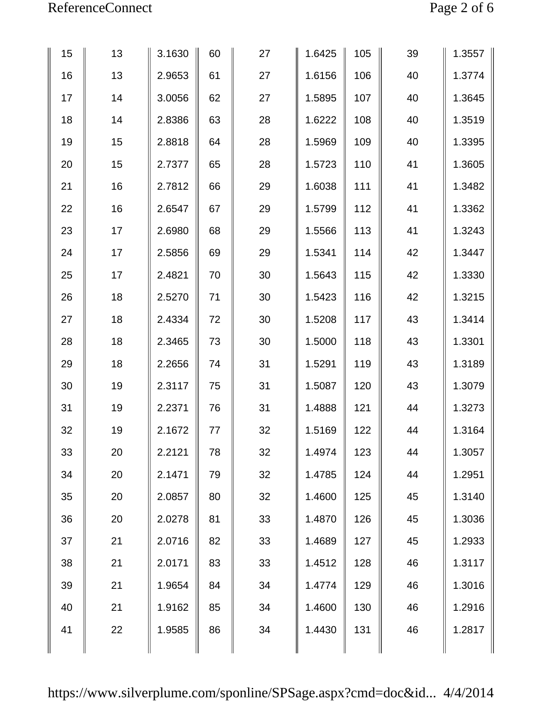| 15 | 13 | 3.1630 | 60 | 27 | 1.6425 | 105 | 39 | 1.3557 |
|----|----|--------|----|----|--------|-----|----|--------|
| 16 | 13 | 2.9653 | 61 | 27 | 1.6156 | 106 | 40 | 1.3774 |
| 17 | 14 | 3.0056 | 62 | 27 | 1.5895 | 107 | 40 | 1.3645 |
| 18 | 14 | 2.8386 | 63 | 28 | 1.6222 | 108 | 40 | 1.3519 |
| 19 | 15 | 2.8818 | 64 | 28 | 1.5969 | 109 | 40 | 1.3395 |
| 20 | 15 | 2.7377 | 65 | 28 | 1.5723 | 110 | 41 | 1.3605 |
| 21 | 16 | 2.7812 | 66 | 29 | 1.6038 | 111 | 41 | 1.3482 |
| 22 | 16 | 2.6547 | 67 | 29 | 1.5799 | 112 | 41 | 1.3362 |
| 23 | 17 | 2.6980 | 68 | 29 | 1.5566 | 113 | 41 | 1.3243 |
| 24 | 17 | 2.5856 | 69 | 29 | 1.5341 | 114 | 42 | 1.3447 |
| 25 | 17 | 2.4821 | 70 | 30 | 1.5643 | 115 | 42 | 1.3330 |
| 26 | 18 | 2.5270 | 71 | 30 | 1.5423 | 116 | 42 | 1.3215 |
| 27 | 18 | 2.4334 | 72 | 30 | 1.5208 | 117 | 43 | 1.3414 |
| 28 | 18 | 2.3465 | 73 | 30 | 1.5000 | 118 | 43 | 1.3301 |
| 29 | 18 | 2.2656 | 74 | 31 | 1.5291 | 119 | 43 | 1.3189 |
| 30 | 19 | 2.3117 | 75 | 31 | 1.5087 | 120 | 43 | 1.3079 |
| 31 | 19 | 2.2371 | 76 | 31 | 1.4888 | 121 | 44 | 1.3273 |
| 32 | 19 | 2.1672 | 77 | 32 | 1.5169 | 122 | 44 | 1.3164 |
| 33 | 20 | 2.2121 | 78 | 32 | 1.4974 | 123 | 44 | 1.3057 |
| 34 | 20 | 2.1471 | 79 | 32 | 1.4785 | 124 | 44 | 1.2951 |
| 35 | 20 | 2.0857 | 80 | 32 | 1.4600 | 125 | 45 | 1.3140 |
| 36 | 20 | 2.0278 | 81 | 33 | 1.4870 | 126 | 45 | 1.3036 |
| 37 | 21 | 2.0716 | 82 | 33 | 1.4689 | 127 | 45 | 1.2933 |
| 38 | 21 | 2.0171 | 83 | 33 | 1.4512 | 128 | 46 | 1.3117 |
| 39 | 21 | 1.9654 | 84 | 34 | 1.4774 | 129 | 46 | 1.3016 |
| 40 | 21 | 1.9162 | 85 | 34 | 1.4600 | 130 | 46 | 1.2916 |
| 41 | 22 | 1.9585 | 86 | 34 | 1.4430 | 131 | 46 | 1.2817 |
|    |    |        |    |    |        |     |    |        |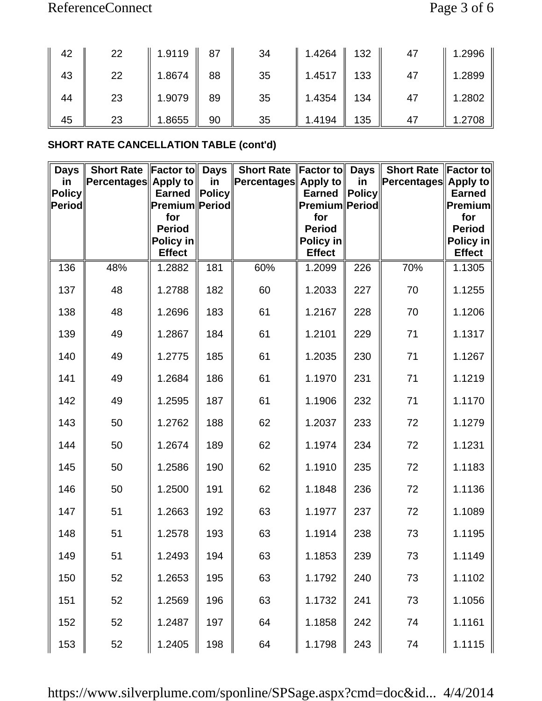| 42 | 22 | 1.9119 | -87 | 34 | 1.4264 | 132 | 47 | 1.2996 |
|----|----|--------|-----|----|--------|-----|----|--------|
| 43 | 22 | 1.8674 | 88  | 35 | 1.4517 | 133 | 47 | 1.2899 |
| 44 | 23 | 1.9079 | 89  | 35 | 1.4354 | 134 | 47 | 1.2802 |
| 45 | 23 | 1.8655 | 90  | 35 | 1.4194 | 135 | 47 | 1.2708 |

## **SHORT RATE CANCELLATION TABLE (cont'd)**

| <b>Days</b>         | Short Rate Factor to Days |                            |                     | <b>Short Rate</b>    | <b>Factor to</b> Days        |                     | <b>Short Rate</b>    | $\ $ Factor to $\ $        |
|---------------------|---------------------------|----------------------------|---------------------|----------------------|------------------------------|---------------------|----------------------|----------------------------|
| in<br><b>Policy</b> | Percentages Apply to      | <b>Earned</b>              | in<br><b>Policy</b> | Percentages Apply to | <b>Earned</b>                | in<br><b>Policy</b> | Percentages Apply to | <b>Earned</b>              |
| Period              |                           | Premium Period<br>for      |                     |                      | <b>Premium Period</b><br>for |                     |                      | <b>Premium</b><br>for      |
|                     |                           | <b>Period</b>              |                     |                      | <b>Period</b>                |                     |                      | <b>Period</b>              |
|                     |                           | Policy in<br><b>Effect</b> |                     |                      | Policy in<br><b>Effect</b>   |                     |                      | Policy in<br><b>Effect</b> |
| 136                 | 48%                       | 1.2882                     | 181                 | 60%                  | 1.2099                       | 226                 | 70%                  | 1.1305                     |
| 137                 | 48                        | 1.2788                     | 182                 | 60                   | 1.2033                       | 227                 | 70                   | 1.1255                     |
| 138                 | 48                        | 1.2696                     | 183                 | 61                   | 1.2167                       | 228                 | 70                   | 1.1206                     |
| 139                 | 49                        | 1.2867                     | 184                 | 61                   | 1.2101                       | 229                 | 71                   | 1.1317                     |
| 140                 | 49                        | 1.2775                     | 185                 | 61                   | 1.2035                       | 230                 | 71                   | 1.1267                     |
| 141                 | 49                        | 1.2684                     | 186                 | 61                   | 1.1970                       | 231                 | 71                   | 1.1219                     |
| 142                 | 49                        | 1.2595                     | 187                 | 61                   | 1.1906                       | 232                 | 71                   | 1.1170                     |
| 143                 | 50                        | 1.2762                     | 188                 | 62                   | 1.2037                       | 233                 | 72                   | 1.1279                     |
| 144                 | 50                        | 1.2674                     | 189                 | 62                   | 1.1974                       | 234                 | 72                   | 1.1231                     |
| 145                 | 50                        | 1.2586                     | 190                 | 62                   | 1.1910                       | 235                 | 72                   | 1.1183                     |
| 146                 | 50                        | 1.2500                     | 191                 | 62                   | 1.1848                       | 236                 | 72                   | 1.1136                     |
| 147                 | 51                        | 1.2663                     | 192                 | 63                   | 1.1977                       | 237                 | 72                   | 1.1089                     |
| 148                 | 51                        | 1.2578                     | 193                 | 63                   | 1.1914                       | 238                 | 73                   | 1.1195                     |
| 149                 | 51                        | 1.2493                     | 194                 | 63                   | 1.1853                       | 239                 | 73                   | 1.1149                     |
| 150                 | 52                        | 1.2653                     | 195                 | 63                   | 1.1792                       | 240                 | 73                   | 1.1102                     |
| 151                 | 52                        | 1.2569                     | 196                 | 63                   | 1.1732                       | 241                 | 73                   | 1.1056                     |
| 152                 | 52                        | 1.2487                     | 197                 | 64                   | 1.1858                       | 242                 | 74                   | 1.1161                     |
| 153                 | 52                        | 1.2405                     | 198                 | 64                   | 1.1798                       | 243                 | 74                   | 1.1115                     |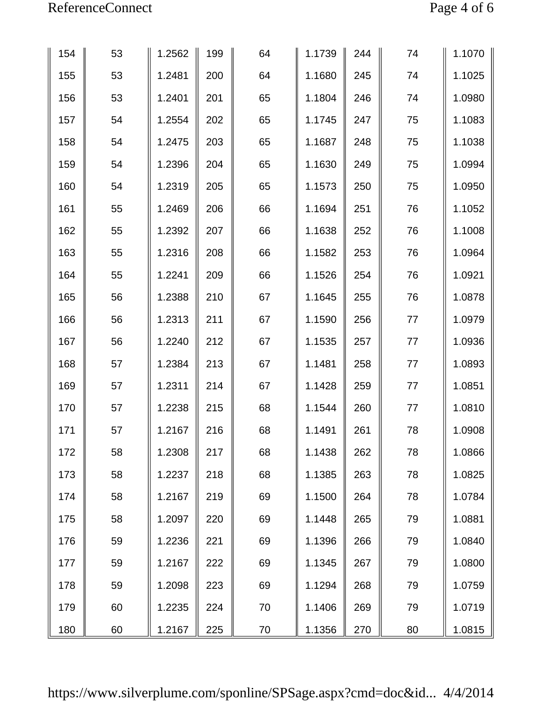| 154 | 53 | 1.2562 | 199 | 64 | 1.1739 | 244 | 74 | 1.1070 |
|-----|----|--------|-----|----|--------|-----|----|--------|
| 155 | 53 | 1.2481 | 200 | 64 | 1.1680 | 245 | 74 | 1.1025 |
| 156 | 53 | 1.2401 | 201 | 65 | 1.1804 | 246 | 74 | 1.0980 |
| 157 | 54 | 1.2554 | 202 | 65 | 1.1745 | 247 | 75 | 1.1083 |
| 158 | 54 | 1.2475 | 203 | 65 | 1.1687 | 248 | 75 | 1.1038 |
| 159 | 54 | 1.2396 | 204 | 65 | 1.1630 | 249 | 75 | 1.0994 |
| 160 | 54 | 1.2319 | 205 | 65 | 1.1573 | 250 | 75 | 1.0950 |
| 161 | 55 | 1.2469 | 206 | 66 | 1.1694 | 251 | 76 | 1.1052 |
| 162 | 55 | 1.2392 | 207 | 66 | 1.1638 | 252 | 76 | 1.1008 |
| 163 | 55 | 1.2316 | 208 | 66 | 1.1582 | 253 | 76 | 1.0964 |
| 164 | 55 | 1.2241 | 209 | 66 | 1.1526 | 254 | 76 | 1.0921 |
| 165 | 56 | 1.2388 | 210 | 67 | 1.1645 | 255 | 76 | 1.0878 |
| 166 | 56 | 1.2313 | 211 | 67 | 1.1590 | 256 | 77 | 1.0979 |
| 167 | 56 | 1.2240 | 212 | 67 | 1.1535 | 257 | 77 | 1.0936 |
| 168 | 57 | 1.2384 | 213 | 67 | 1.1481 | 258 | 77 | 1.0893 |
| 169 | 57 | 1.2311 | 214 | 67 | 1.1428 | 259 | 77 | 1.0851 |
| 170 | 57 | 1.2238 | 215 | 68 | 1.1544 | 260 | 77 | 1.0810 |
| 171 | 57 | 1.2167 | 216 | 68 | 1.1491 | 261 | 78 | 1.0908 |
| 172 | 58 | 1.2308 | 217 | 68 | 1.1438 | 262 | 78 | 1.0866 |
| 173 | 58 | 1.2237 | 218 | 68 | 1.1385 | 263 | 78 | 1.0825 |
| 174 | 58 | 1.2167 | 219 | 69 | 1.1500 | 264 | 78 | 1.0784 |
| 175 | 58 | 1.2097 | 220 | 69 | 1.1448 | 265 | 79 | 1.0881 |
| 176 | 59 | 1.2236 | 221 | 69 | 1.1396 | 266 | 79 | 1.0840 |
| 177 | 59 | 1.2167 | 222 | 69 | 1.1345 | 267 | 79 | 1.0800 |
| 178 | 59 | 1.2098 | 223 | 69 | 1.1294 | 268 | 79 | 1.0759 |
| 179 | 60 | 1.2235 | 224 | 70 | 1.1406 | 269 | 79 | 1.0719 |
| 180 | 60 | 1.2167 | 225 | 70 | 1.1356 | 270 | 80 | 1.0815 |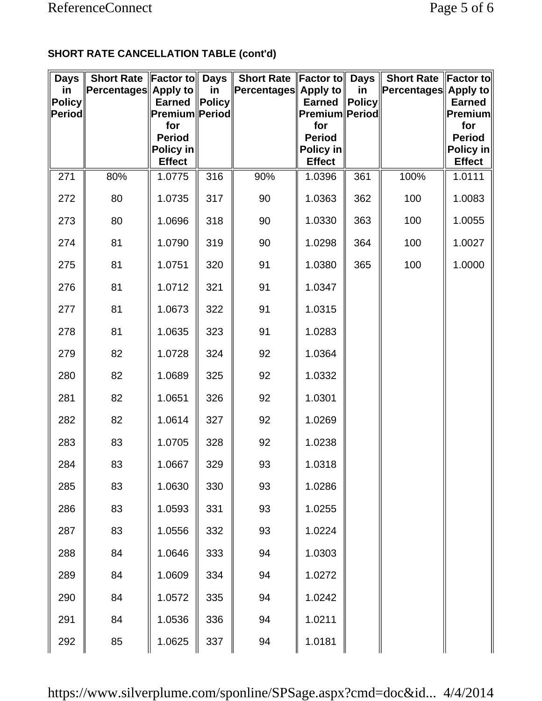# **SHORT RATE CANCELLATION TABLE (cont'd)**

| <b>Days</b><br>in.<br><b>Policy</b><br><b>Period</b> | Short Rate Factor to Days<br>∥Percentages∥Apply to│ | <b>Earned</b><br>Premium Period                    | in<br>$\ $ Policy $\ $ | Short Rate Factor to Days<br>Percentages Apply to | <b>Earned</b><br><b>Premium Period</b>             | in<br><b>Policy</b> | Short Rate Factor to<br><b>Percentages Apply to</b> | <b>Earned</b><br><b>Premium</b>                    |
|------------------------------------------------------|-----------------------------------------------------|----------------------------------------------------|------------------------|---------------------------------------------------|----------------------------------------------------|---------------------|-----------------------------------------------------|----------------------------------------------------|
|                                                      |                                                     | for<br><b>Period</b><br>Policy in<br><b>Effect</b> |                        |                                                   | for<br><b>Period</b><br>Policy in<br><b>Effect</b> |                     |                                                     | for<br><b>Period</b><br>Policy in<br><b>Effect</b> |
| 271                                                  | 80%                                                 | 1.0775                                             | 316                    | 90%                                               | 1.0396                                             | 361                 | 100%                                                | 1.0111                                             |
| 272                                                  | 80                                                  | 1.0735                                             | 317                    | 90                                                | 1.0363                                             | 362                 | 100                                                 | 1.0083                                             |
| 273                                                  | 80                                                  | 1.0696                                             | 318                    | 90                                                | 1.0330                                             | 363                 | 100                                                 | 1.0055                                             |
| 274                                                  | 81                                                  | 1.0790                                             | 319                    | 90                                                | 1.0298                                             | 364                 | 100                                                 | 1.0027                                             |
| 275                                                  | 81                                                  | 1.0751                                             | 320                    | 91                                                | 1.0380                                             | 365                 | 100                                                 | 1.0000                                             |
| 276                                                  | 81                                                  | 1.0712                                             | 321                    | 91                                                | 1.0347                                             |                     |                                                     |                                                    |
| 277                                                  | 81                                                  | 1.0673                                             | 322                    | 91                                                | 1.0315                                             |                     |                                                     |                                                    |
| 278                                                  | 81                                                  | 1.0635                                             | 323                    | 91                                                | 1.0283                                             |                     |                                                     |                                                    |
| 279                                                  | 82                                                  | 1.0728                                             | 324                    | 92                                                | 1.0364                                             |                     |                                                     |                                                    |
| 280                                                  | 82                                                  | 1.0689                                             | 325                    | 92                                                | 1.0332                                             |                     |                                                     |                                                    |
| 281                                                  | 82                                                  | 1.0651                                             | 326                    | 92                                                | 1.0301                                             |                     |                                                     |                                                    |
| 282                                                  | 82                                                  | 1.0614                                             | 327                    | 92                                                | 1.0269                                             |                     |                                                     |                                                    |
| 283                                                  | 83                                                  | 1.0705                                             | 328                    | 92                                                | 1.0238                                             |                     |                                                     |                                                    |
| 284                                                  | 83                                                  | 1.0667                                             | 329                    | 93                                                | 1.0318                                             |                     |                                                     |                                                    |
| 285                                                  | 83                                                  | 1.0630                                             | 330                    | 93                                                | 1.0286                                             |                     |                                                     |                                                    |
| 286                                                  | 83                                                  | 1.0593                                             | 331                    | 93                                                | 1.0255                                             |                     |                                                     |                                                    |
| 287                                                  | 83                                                  | 1.0556                                             | 332                    | 93                                                | 1.0224                                             |                     |                                                     |                                                    |
| 288                                                  | 84                                                  | 1.0646                                             | 333                    | 94                                                | 1.0303                                             |                     |                                                     |                                                    |
| 289                                                  | 84                                                  | 1.0609                                             | 334                    | 94                                                | 1.0272                                             |                     |                                                     |                                                    |
| 290                                                  | 84                                                  | 1.0572                                             | 335                    | 94                                                | 1.0242                                             |                     |                                                     |                                                    |
| 291                                                  | 84                                                  | 1.0536                                             | 336                    | 94                                                | 1.0211                                             |                     |                                                     |                                                    |
| 292                                                  | 85                                                  | 1.0625                                             | 337                    | 94                                                | 1.0181                                             |                     |                                                     |                                                    |